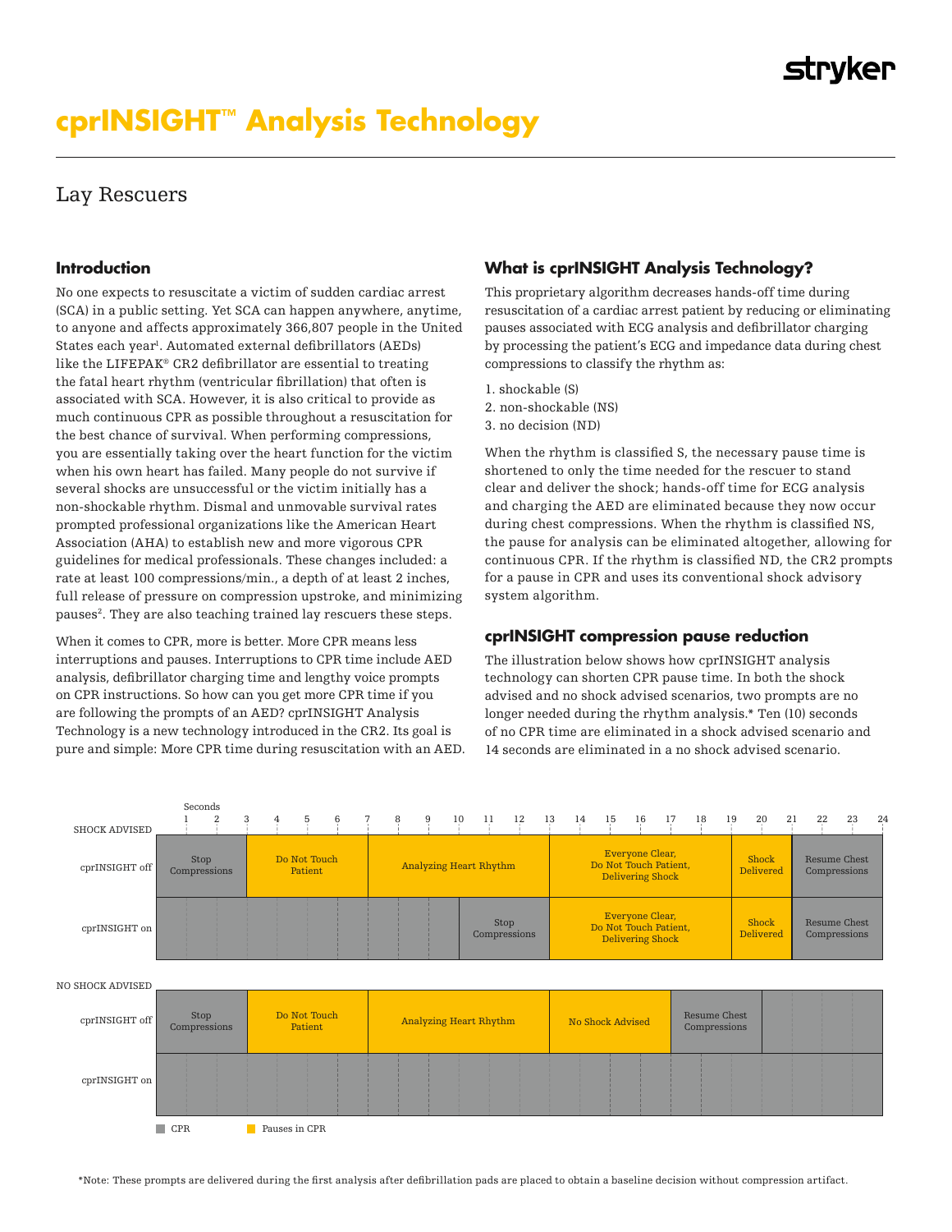# **cprINSIGHT™ Analysis Technology**

# Lay Rescuers

### **Introduction**

No one expects to resuscitate a victim of sudden cardiac arrest (SCA) in a public setting. Yet SCA can happen anywhere, anytime, to anyone and affects approximately 366,807 people in the United States each year<sup>1</sup>. Automated external defibrillators (AEDs) like the LIFEPAK® CR2 defibrillator are essential to treating the fatal heart rhythm (ventricular fibrillation) that often is associated with SCA. However, it is also critical to provide as much continuous CPR as possible throughout a resuscitation for the best chance of survival. When performing compressions, you are essentially taking over the heart function for the victim when his own heart has failed. Many people do not survive if several shocks are unsuccessful or the victim initially has a non-shockable rhythm. Dismal and unmovable survival rates prompted professional organizations like the American Heart Association (AHA) to establish new and more vigorous CPR guidelines for medical professionals. These changes included: a rate at least 100 compressions/min., a depth of at least 2 inches, full release of pressure on compression upstroke, and minimizing pauses<sup>2</sup>. They are also teaching trained lay rescuers these steps.

When it comes to CPR, more is better. More CPR means less interruptions and pauses. Interruptions to CPR time include AED analysis, defibrillator charging time and lengthy voice prompts on CPR instructions. So how can you get more CPR time if you are following the prompts of an AED? cprINSIGHT Analysis Technology is a new technology introduced in the CR2. Its goal is pure and simple: More CPR time during resuscitation with an AED.

# **What is cprINSIGHT Analysis Technology?**

This proprietary algorithm decreases hands-off time during resuscitation of a cardiac arrest patient by reducing or eliminating pauses associated with ECG analysis and defibrillator charging by processing the patient's ECG and impedance data during chest compressions to classify the rhythm as:

1. shockable (S) 2. non-shockable (NS) 3. no decision (ND)

When the rhythm is classified S, the necessary pause time is shortened to only the time needed for the rescuer to stand clear and deliver the shock; hands-off time for ECG analysis and charging the AED are eliminated because they now occur during chest compressions. When the rhythm is classified NS, the pause for analysis can be eliminated altogether, allowing for continuous CPR. If the rhythm is classified ND, the CR2 prompts for a pause in CPR and uses its conventional shock advisory system algorithm.

### **cprINSIGHT compression pause reduction**

The illustration below shows how cprINSIGHT analysis technology can shorten CPR pause time. In both the shock advised and no shock advised scenarios, two prompts are no longer needed during the rhythm analysis.\* Ten (10) seconds of no CPR time are eliminated in a shock advised scenario and 14 seconds are eliminated in a no shock advised scenario.

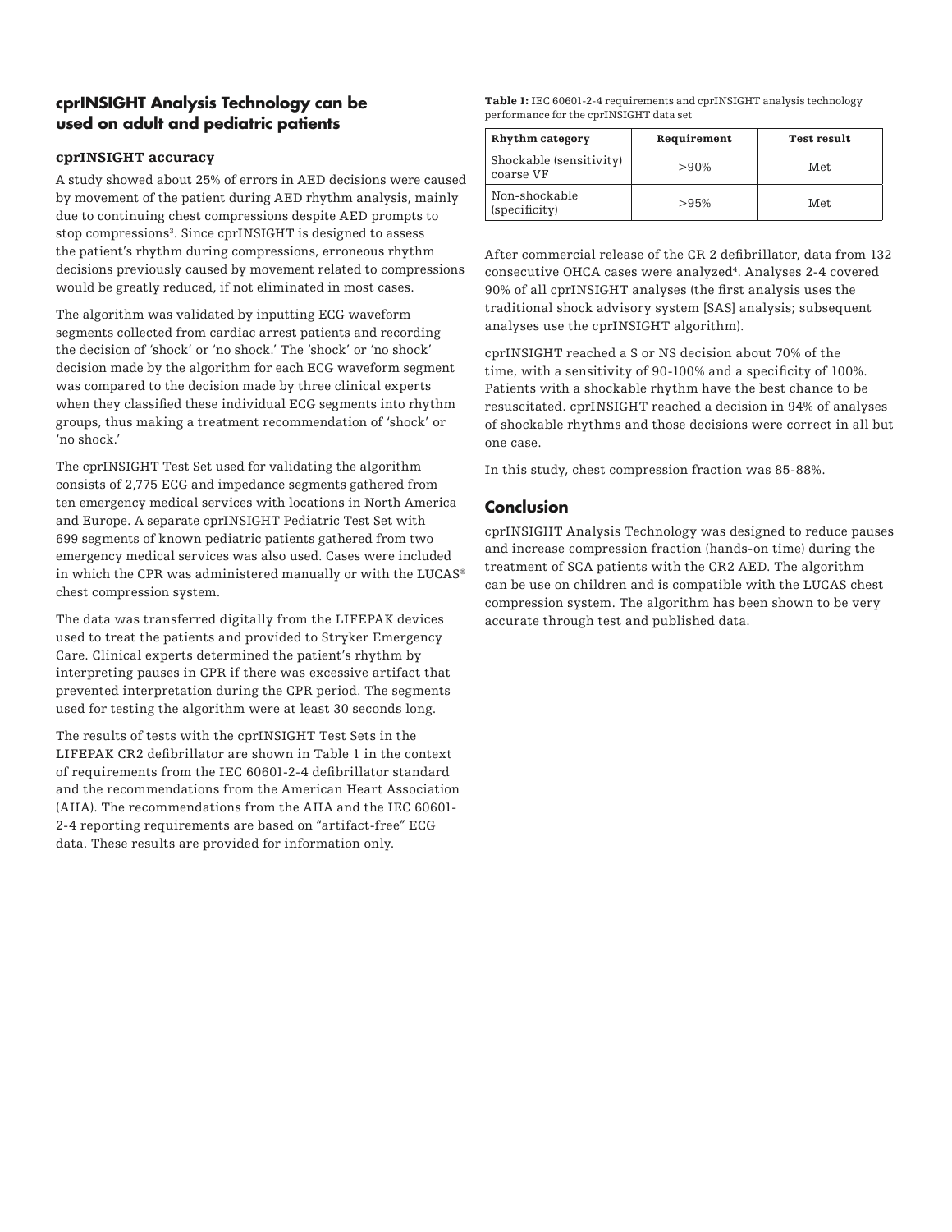# **cprINSIGHT Analysis Technology can be used on adult and pediatric patients**

### cprINSIGHT accuracy

A study showed about 25% of errors in AED decisions were caused by movement of the patient during AED rhythm analysis, mainly due to continuing chest compressions despite AED prompts to stop compressions<sup>3</sup>. Since cprINSIGHT is designed to assess the patient's rhythm during compressions, erroneous rhythm decisions previously caused by movement related to compressions would be greatly reduced, if not eliminated in most cases.

The algorithm was validated by inputting ECG waveform segments collected from cardiac arrest patients and recording the decision of 'shock' or 'no shock.' The 'shock' or 'no shock' decision made by the algorithm for each ECG waveform segment was compared to the decision made by three clinical experts when they classified these individual ECG segments into rhythm groups, thus making a treatment recommendation of 'shock' or 'no shock.'

The cprINSIGHT Test Set used for validating the algorithm consists of 2,775 ECG and impedance segments gathered from ten emergency medical services with locations in North America and Europe. A separate cprINSIGHT Pediatric Test Set with 699 segments of known pediatric patients gathered from two emergency medical services was also used. Cases were included in which the CPR was administered manually or with the  $LUCAS^{\circledast}$ chest compression system.

The data was transferred digitally from the LIFEPAK devices used to treat the patients and provided to Stryker Emergency Care. Clinical experts determined the patient's rhythm by interpreting pauses in CPR if there was excessive artifact that prevented interpretation during the CPR period. The segments used for testing the algorithm were at least 30 seconds long.

The results of tests with the cprINSIGHT Test Sets in the LIFEPAK CR2 defibrillator are shown in Table 1 in the context of requirements from the IEC 60601-2-4 defibrillator standard and the recommendations from the American Heart Association (AHA). The recommendations from the AHA and the IEC 60601- 2-4 reporting requirements are based on "artifact-free" ECG data. These results are provided for information only.

Table 1: IEC 60601-2-4 requirements and cprINSIGHT analysis technology performance for the cprINSIGHT data set

| Rhythm category                      | Requirement | Test result |
|--------------------------------------|-------------|-------------|
| Shockable (sensitivity)<br>coarse VF | $>90\%$     | Met.        |
| Non-shockable<br>(specificity)       | >95%        | Met.        |

After commercial release of the CR 2 defibrillator, data from 132 consecutive OHCA cases were analyzed<sup>4</sup>. Analyses 2-4 covered 90% of all cprINSIGHT analyses (the first analysis uses the traditional shock advisory system [SAS] analysis; subsequent analyses use the cprINSIGHT algorithm).

cprINSIGHT reached a S or NS decision about 70% of the time, with a sensitivity of 90-100% and a specificity of 100%. Patients with a shockable rhythm have the best chance to be resuscitated. cprINSIGHT reached a decision in 94% of analyses of shockable rhythms and those decisions were correct in all but one case.

In this study, chest compression fraction was 85-88%.

## **Conclusion**

cprINSIGHT Analysis Technology was designed to reduce pauses and increase compression fraction (hands-on time) during the treatment of SCA patients with the CR2 AED. The algorithm can be use on children and is compatible with the LUCAS chest compression system. The algorithm has been shown to be very accurate through test and published data.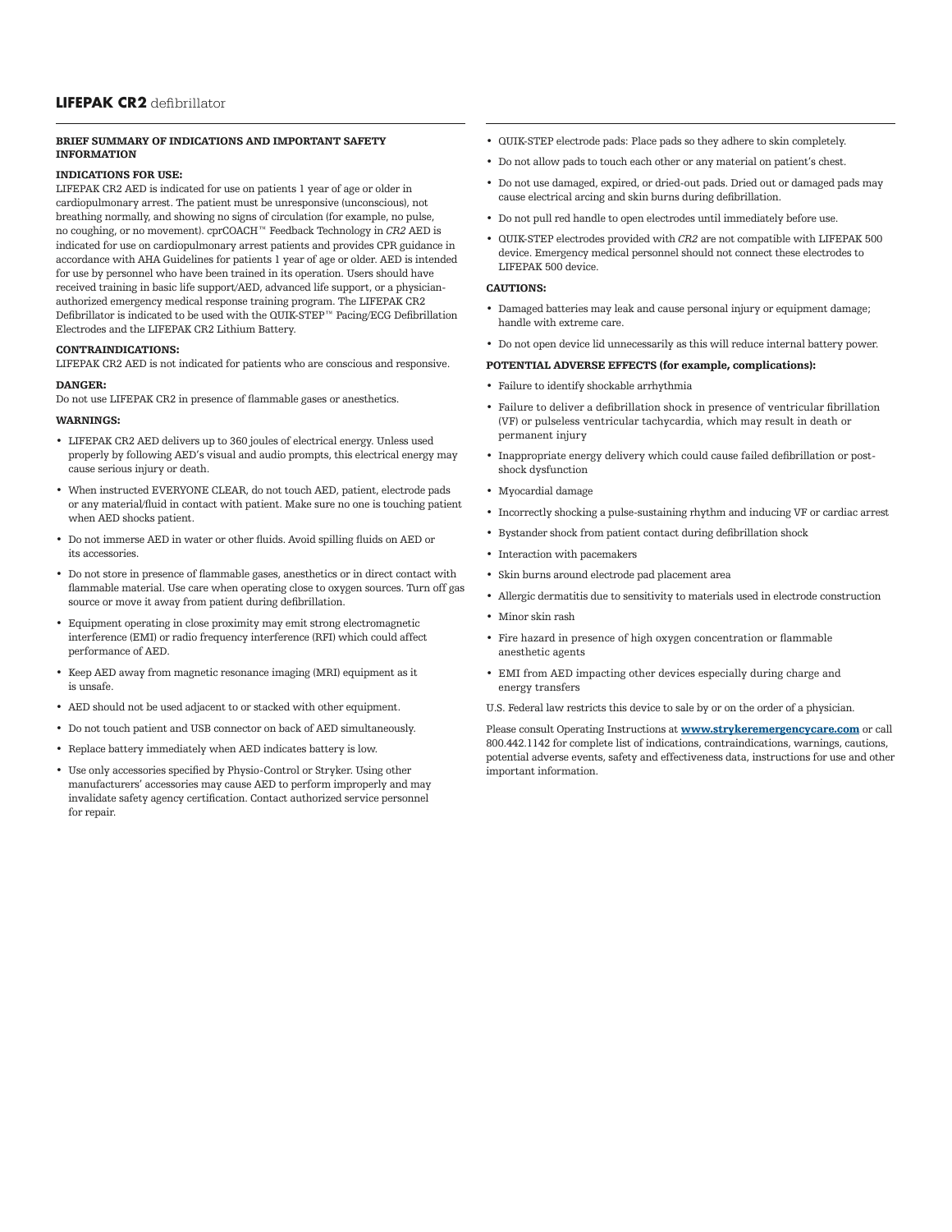#### BRIEF SUMMARY OF INDICATIONS AND IMPORTANT SAFETY INFORMATION

#### INDICATIONS FOR USE:

LIFEPAK CR2 AED is indicated for use on patients 1 year of age or older in cardiopulmonary arrest. The patient must be unresponsive (unconscious), not breathing normally, and showing no signs of circulation (for example, no pulse, no coughing, or no movement). cprCOACH™ Feedback Technology in *CR2* AED is indicated for use on cardiopulmonary arrest patients and provides CPR guidance in accordance with AHA Guidelines for patients 1 year of age or older. AED is intended for use by personnel who have been trained in its operation. Users should have received training in basic life support/AED, advanced life support, or a physicianauthorized emergency medical response training program. The LIFEPAK CR2 Defibrillator is indicated to be used with the QUIK-STEP™ Pacing/ECG Defibrillation Electrodes and the LIFEPAK CR2 Lithium Battery.

#### CONTRAINDICATIONS:

LIFEPAK CR2 AED is not indicated for patients who are conscious and responsive.

#### DANGER:

Do not use LIFEPAK CR2 in presence of flammable gases or anesthetics.

#### WARNINGS:

- LIFEPAK CR2 AED delivers up to 360 joules of electrical energy. Unless used properly by following AED's visual and audio prompts, this electrical energy may cause serious injury or death.
- When instructed EVERYONE CLEAR, do not touch AED, patient, electrode pads or any material/fluid in contact with patient. Make sure no one is touching patient when AED shocks patient.
- Do not immerse AED in water or other fluids. Avoid spilling fluids on AED or its accessories.
- Do not store in presence of flammable gases, anesthetics or in direct contact with flammable material. Use care when operating close to oxygen sources. Turn off gas source or move it away from patient during defibrillation.
- Equipment operating in close proximity may emit strong electromagnetic interference (EMI) or radio frequency interference (RFI) which could affect performance of AED.
- Keep AED away from magnetic resonance imaging (MRI) equipment as it is unsafe.
- AED should not be used adjacent to or stacked with other equipment.
- Do not touch patient and USB connector on back of AED simultaneously.
- Replace battery immediately when AED indicates battery is low.
- Use only accessories specified by Physio-Control or Stryker. Using other manufacturers' accessories may cause AED to perform improperly and may invalidate safety agency certification. Contact authorized service personnel for repair.
- QUIK-STEP electrode pads: Place pads so they adhere to skin completely.
- Do not allow pads to touch each other or any material on patient's chest.
- Do not use damaged, expired, or dried-out pads. Dried out or damaged pads may cause electrical arcing and skin burns during defibrillation.
- Do not pull red handle to open electrodes until immediately before use.
- QUIK-STEP electrodes provided with *CR2* are not compatible with LIFEPAK 500 device. Emergency medical personnel should not connect these electrodes to LIFEPAK 500 device.

#### CAUTIONS:

- Damaged batteries may leak and cause personal injury or equipment damage; handle with extreme care.
- Do not open device lid unnecessarily as this will reduce internal battery power.

#### POTENTIAL ADVERSE EFFECTS (for example, complications):

- Failure to identify shockable arrhythmia
- Failure to deliver a defibrillation shock in presence of ventricular fibrillation (VF) or pulseless ventricular tachycardia, which may result in death or permanent injury
- Inappropriate energy delivery which could cause failed defibrillation or postshock dysfunction
- Myocardial damage
- Incorrectly shocking a pulse-sustaining rhythm and inducing VF or cardiac arrest
- Bystander shock from patient contact during defibrillation shock
- Interaction with pacemakers
- Skin burns around electrode pad placement area
- Allergic dermatitis due to sensitivity to materials used in electrode construction
- Minor skin rash
- Fire hazard in presence of high oxygen concentration or flammable anesthetic agents
- EMI from AED impacting other devices especially during charge and energy transfers
- U.S. Federal law restricts this device to sale by or on the order of a physician.

Please consult Operating Instructions at **[www.strykeremergencycare.com](http://www.strykeremergencycare.com)** or call 800.442.1142 for complete list of indications, contraindications, warnings, cautions, potential adverse events, safety and effectiveness data, instructions for use and other important information.